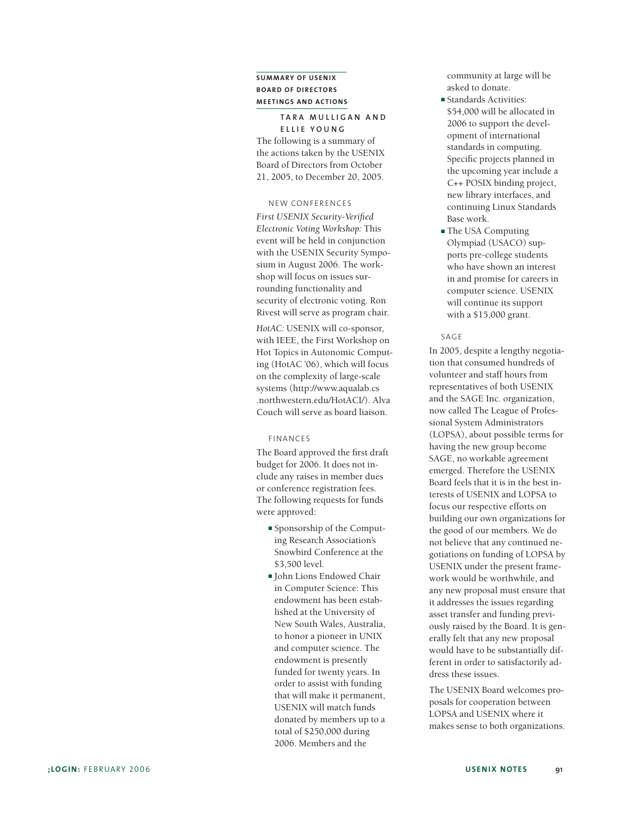### **SUMMARY OF USENIX BOARD OF DIRECTORS MEETINGS AND ACTIONS**

#### **TARA MULLIGAN AND ELLIE YOUNG**

The following is a summary of the actions taken by the USENIX Board of Directors from October 21, 2005, to December 20, 2005.

#### NEW CONFERENCES

*First USENIX Security-Verified Electronic Voting Workshop:* This event will be held in conjunction with the USENIX Security Symposium in August 2006. The workshop will focus on issues surrounding functionality and security of electronic voting. Ron Rivest will serve as program chair.

*HotAC:* USENIX will co-sponsor, with IEEE, the First Workshop on Hot Topics in Autonomic Computing (HotAC '06), which will focus on the complexity of large-scale systems (http://www.aqualab.cs .northwestern.edu/HotACI/). Alva Couch will serve as board liaison.

#### F INANCES

The Board approved the first draft budget for 2006. It does not include any raises in member dues or conference registration fees. The following requests for funds were approved:

- **■** Sponsorship of the Computing Research Association's Snowbird Conference at the \$3,500 level.
- **■** John Lions Endowed Chair in Computer Science: This endowment has been established at the University of New South Wales, Australia, to honor a pioneer in UNIX and computer science. The endowment is presently funded for twenty years. In order to assist with funding that will make it permanent, USENIX will match funds donated by members up to a total of \$250,000 during 2006. Members and the

community at large will be asked to donate.

- **■** Standards Activities: \$54,000 will be allocated in 2006 to support the development of international standards in computing. Specific projects planned in the upcoming year include a C++ POSIX binding project, new library interfaces, and continuing Linux Standards Base work.
- **■** The USA Computing Olympiad (USACO) supports pre-college students who have shown an interest in and promise for careers in computer science. USENIX will continue its support with a \$15,000 grant.

#### SAGE

In 2005, despite a lengthy negotiation that consumed hundreds of volunteer and staff hours from representatives of both USENIX and the SAGE Inc. organization, now called The League of Professional System Administrators (LOPSA), about possible terms for having the new group become SAGE, no workable agreement emerged. Therefore the USENIX Board feels that it is in the best interests of USENIX and LOPSA to focus our respective efforts on building our own organizations for the good of our members. We do not believe that any continued negotiations on funding of LOPSA by USENIX under the present framework would be worthwhile, and any new proposal must ensure that it addresses the issues regarding asset transfer and funding previously raised by the Board. It is generally felt that any new proposal would have to be substantially different in order to satisfactorily address these issues.

The USENIX Board welcomes proposals for cooperation between LOPSA and USENIX where it makes sense to both organizations.